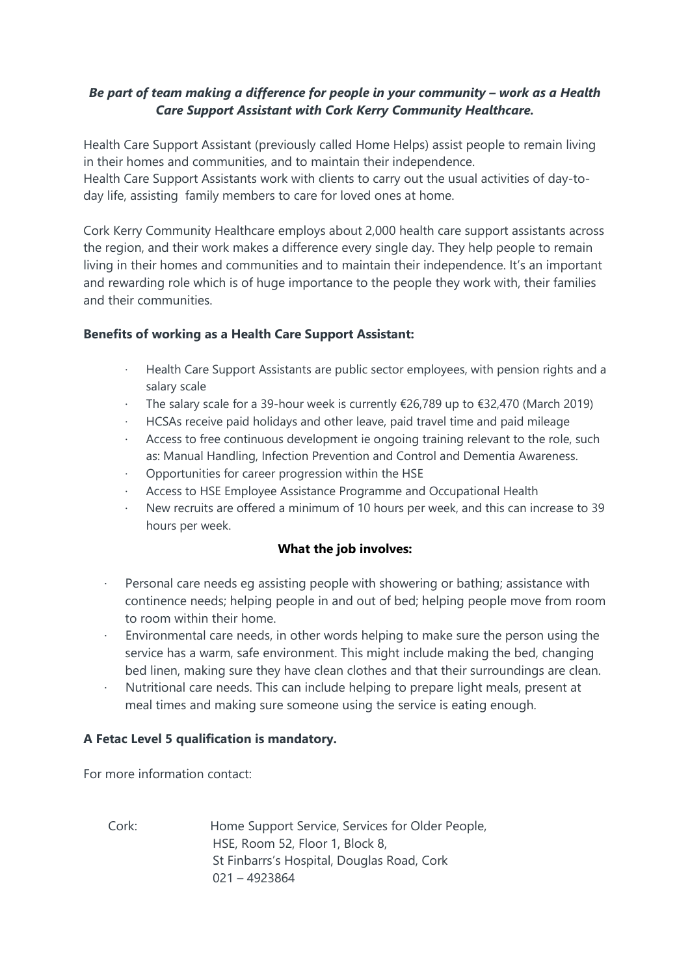## *Be part of team making a difference for people in your community – work as a Health Care Support Assistant with Cork Kerry Community Healthcare.*

Health Care Support Assistant (previously called Home Helps) assist people to remain living in their homes and communities, and to maintain their independence.

Health Care Support Assistants work with clients to carry out the usual activities of day-today life, assisting family members to care for loved ones at home.

Cork Kerry Community Healthcare employs about 2,000 health care support assistants across the region, and their work makes a difference every single day. They help people to remain living in their homes and communities and to maintain their independence. It's an important and rewarding role which is of huge importance to the people they work with, their families and their communities.

## **Benefits of working as a Health Care Support Assistant:**

- Health Care Support Assistants are public sector employees, with pension rights and a salary scale
- The salary scale for a 39-hour week is currently  $\epsilon$ 26,789 up to  $\epsilon$ 32,470 (March 2019)
- · HCSAs receive paid holidays and other leave, paid travel time and paid mileage
- Access to free continuous development ie ongoing training relevant to the role, such as: Manual Handling, Infection Prevention and Control and Dementia Awareness.
- Opportunities for career progression within the HSE
- · Access to HSE Employee Assistance Programme and Occupational Health
- New recruits are offered a minimum of 10 hours per week, and this can increase to 39 hours per week.

## **What the job involves:**

- · Personal care needs eg assisting people with showering or bathing; assistance with continence needs; helping people in and out of bed; helping people move from room to room within their home.
- Environmental care needs, in other words helping to make sure the person using the service has a warm, safe environment. This might include making the bed, changing bed linen, making sure they have clean clothes and that their surroundings are clean.
- Nutritional care needs. This can include helping to prepare light meals, present at meal times and making sure someone using the service is eating enough.

## **A Fetac Level 5 qualification is mandatory.**

For more information contact:

Cork: Home Support Service, Services for Older People, HSE, Room 52, Floor 1, Block 8, St Finbarrs's Hospital, Douglas Road, Cork 021 – 4923864